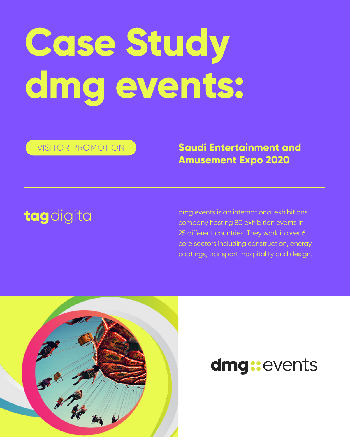# **Case Study dmg events:**

dmg events is an international exhibitions company hosting 80 exhibition events in 25 different countries. They work in over 6 core sectors including construction, energy, coatings, transport, hospitality and design.



# dmg:events

**Saudi Entertainment and** 

### **Amusement Expo 2020**

# tagdigital

VISITOR PROMOTION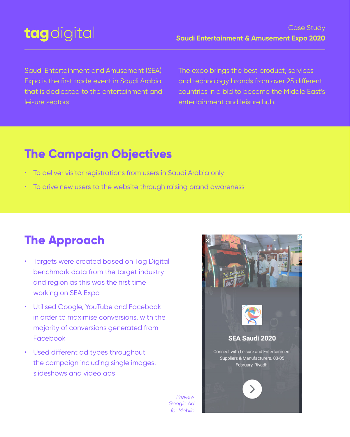Saudi Entertainment and Amusement (SEA) Expo is the first trade event in Saudi Arabia that is dedicated to the entertainment and leisure sectors.

The expo brings the best product, services and technology brands from over 25 different countries in a bid to become the Middle East's entertainment and leisure hub.

- Targets were created based on Tag Digital benchmark data from the target industry and region as this was the first time working on SEA Expo
- Utilised Google, YouTube and Facebook



- in order to maximise conversions, with the majority of conversions generated from Facebook
- Used different ad types throughout the campaign including single images, slideshows and video ads

### **The Campaign Objectives**

- To deliver visitor registrations from users in Saudi Arabia only
- To drive new users to the website through raising brand awareness

# **The Approach**

# tagdigital

#### Case Study **Saudi Entertainment & Amusement Expo 2020**

*Preview Google Ad for Mobile*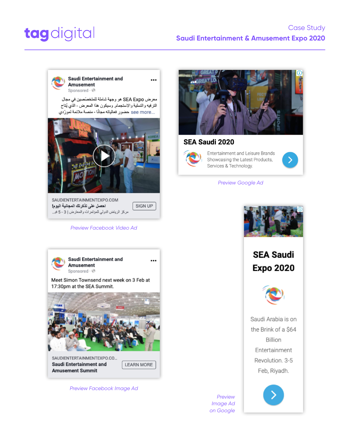#### *Preview Facebook Video Ad*



**Saudi Entertainment and Amusement** 

 $\bullet\bullet\bullet$ 

Meet Simon Townsend next week on 3 Feb at 17:30pm at the SEA Summit.



Showcasing the Latest Products, Services & Technology.



*Preview Facebook Image Ad*

Saudi Arabia is on the Brink of a \$64 Billion Entertainment Revolution. 3-5 Feb, Riyadh.

#### Case Study

# tagdigital

#### **Saudi Entertainment & Amusement Expo 2020**





#### **SEA Saudi 2020**





| SAUDIENTERTAINMENTEXPO.COM                         |         |
|----------------------------------------------------|---------|
| احصل على تذكرتك المجانية البوم!                    | SIGN UP |
| مركز الرياض الدولي للمؤتمر ات والمعارض   3 - 5 فبر |         |

#### *Preview Google Ad*



### **SEA Saudi Expo 2020**



SAUDIENTERTAINMENTEXPO.CO... **Saudi Entertainment and Amusement Summit** 

**LEARN MORE** 

*Preview Image Ad on Google*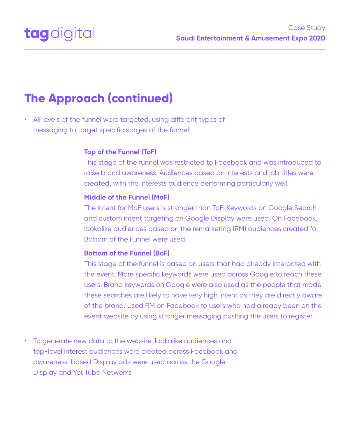• All levels of the funnel were targeted, using different types of messaging to target specific stages of the funnel:

• To generate new data to the website, lookalike audiences and top-level interest audiences were created across Facebook and awareness-based Display ads were used across the Google Display and YouTube Networks

#### **Top of the Funnel (ToF)**

This stage of the funnel was restricted to Facebook and was introduced to raise brand awareness. Audiences based on interests and job titles were created, with the interests audience performing particularly well.

#### **Middle of the Funnel (MoF)**

The intent for MoF users is stronger than ToF. Keywords on Google Search and custom intent targeting on Google Display were used. On Facebook, lookalike audiences based on the remarketing (RM) audiences created for Bottom of the Funnel were used.

#### **Bottom of the Funnel (BoF)**

This stage of the funnel is based on users that had already interacted with the event. More specific keywords were used across Google to reach these users. Brand keywords on Google were also used as the people that made these searches are likely to have very high intent as they are directly aware of the brand. Used RM on Facebook to users who had already been on the

event website by using stronger messaging pushing the users to register.

### **The Approach (continued)**



Case Study **Saudi Entertainment & Amusement Expo 2020**